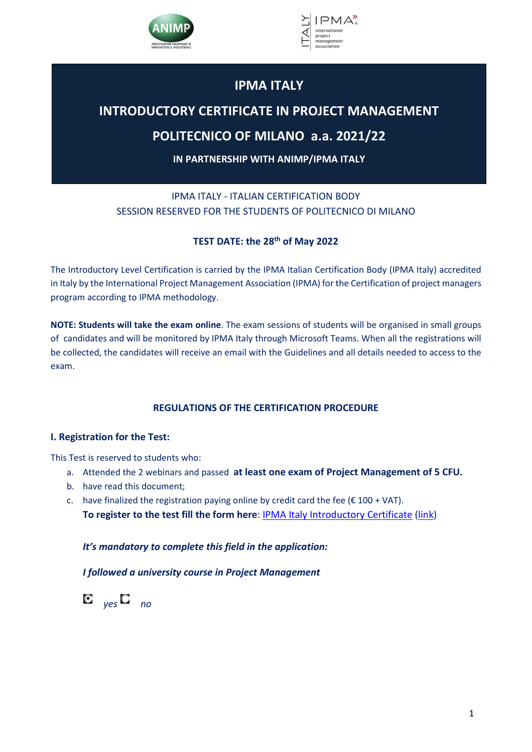



# **IPMA ITALY**

# **INTRODUCTORY CERTIFICATE IN PROJECT MANAGEMENT**

# **POLITECNICO OF MILANO a.a. 2021/22**

**IN PARTNERSHIP WITH ANIMP/IPMA ITALY**

## IPMA ITALY - ITALIAN CERTIFICATION BODY SESSION RESERVED FOR THE STUDENTS OF POLITECNICO DI MILANO

## **TEST DATE: the 28th of May 2022**

The Introductory Level Certification is carried by the IPMA Italian Certification Body (IPMA Italy) accredited in Italy by the International Project Management Association (IPMA) for the Certification of project managers program according to IPMA methodology.

**NOTE: Students will take the exam online**. The exam sessions of students will be organised in small groups of candidates and will be monitored by IPMA Italy through Microsoft Teams. When all the registrations will be collected, the candidates will receive an email with the Guidelines and all details needed to access to the exam.

## **REGULATIONS OF THE CERTIFICATION PROCEDURE**

## **I. Registration for the Test:**

This Test is reserved to students who:

- a. Attended the 2 webinars and passed **at least one exam of Project Management of 5 CFU.**
- b. have read this document;
- c. have finalized the registration paying online by credit card the fee ( $\epsilon$  100 + VAT). **To register to the test fill the form here**: IPMA Italy Introductory Certificate (link)

*It's mandatory to complete this field in the application:* 

*I followed a university course in Project Management* 

 $\mathbf{C}$   $_{\nu eS}$   $\mathbf{C}$   $_{\nu o}$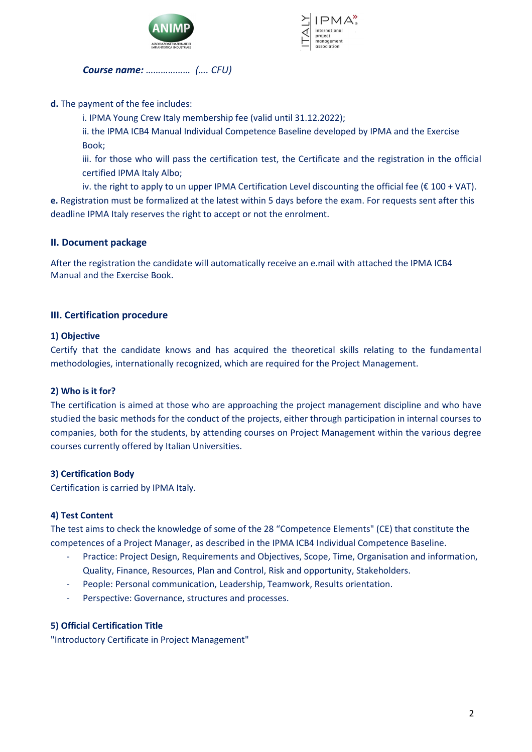



*Course name: ……………… (…. CFU)* 

**d.** The payment of the fee includes:

i. IPMA Young Crew Italy membership fee (valid until 31.12.2022);

ii. the IPMA ICB4 Manual Individual Competence Baseline developed by IPMA and the Exercise Book;

iii. for those who will pass the certification test, the Certificate and the registration in the official certified IPMA Italy Albo;

iv. the right to apply to un upper IPMA Certification Level discounting the official fee ( $\epsilon$  100 + VAT). **e.** Registration must be formalized at the latest within 5 days before the exam. For requests sent after this deadline IPMA Italy reserves the right to accept or not the enrolment.

## **II. Document package**

After the registration the candidate will automatically receive an e.mail with attached the IPMA ICB4 Manual and the Exercise Book.

## **III. Certification procedure**

## **1) Objective**

Certify that the candidate knows and has acquired the theoretical skills relating to the fundamental methodologies, internationally recognized, which are required for the Project Management.

## **2) Who is it for?**

The certification is aimed at those who are approaching the project management discipline and who have studied the basic methods for the conduct of the projects, either through participation in internal courses to companies, both for the students, by attending courses on Project Management within the various degree courses currently offered by Italian Universities.

## **3) Certification Body**

Certification is carried by IPMA Italy.

## **4) Test Content**

The test aims to check the knowledge of some of the 28 "Competence Elements" (CE) that constitute the competences of a Project Manager, as described in the IPMA ICB4 Individual Competence Baseline.

- Practice: Project Design, Requirements and Objectives, Scope, Time, Organisation and information, Quality, Finance, Resources, Plan and Control, Risk and opportunity, Stakeholders.
- People: Personal communication, Leadership, Teamwork, Results orientation.
- Perspective: Governance, structures and processes.

## **5) Official Certification Title**

"Introductory Certificate in Project Management"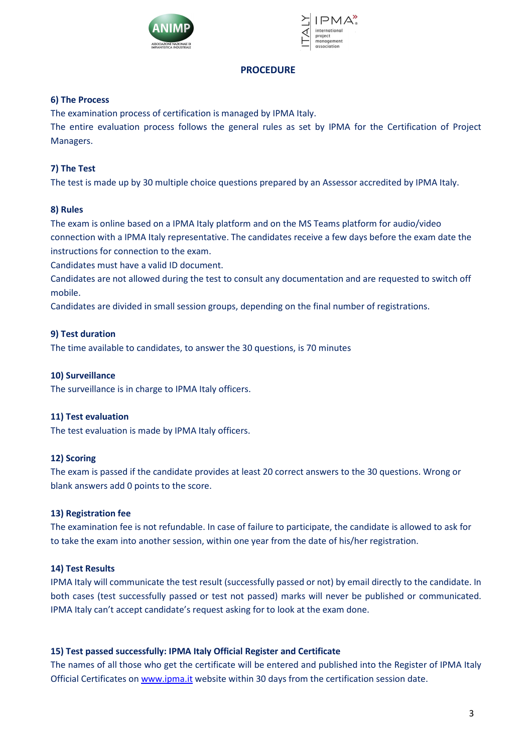



#### **PROCEDURE**

#### **6) The Process**

The examination process of certification is managed by IPMA Italy.

The entire evaluation process follows the general rules as set by IPMA for the Certification of Project Managers.

## **7) The Test**

The test is made up by 30 multiple choice questions prepared by an Assessor accredited by IPMA Italy.

#### **8) Rules**

The exam is online based on a IPMA Italy platform and on the MS Teams platform for audio/video connection with a IPMA Italy representative. The candidates receive a few days before the exam date the instructions for connection to the exam.

Candidates must have a valid ID document.

Candidates are not allowed during the test to consult any documentation and are requested to switch off mobile.

Candidates are divided in small session groups, depending on the final number of registrations.

#### **9) Test duration**

The time available to candidates, to answer the 30 questions, is 70 minutes

#### **10) Surveillance**

The surveillance is in charge to IPMA Italy officers.

## **11) Test evaluation**

The test evaluation is made by IPMA Italy officers.

#### **12) Scoring**

The exam is passed if the candidate provides at least 20 correct answers to the 30 questions. Wrong or blank answers add 0 points to the score.

#### **13) Registration fee**

The examination fee is not refundable. In case of failure to participate, the candidate is allowed to ask for to take the exam into another session, within one year from the date of his/her registration.

## **14) Test Results**

IPMA Italy will communicate the test result (successfully passed or not) by email directly to the candidate. In both cases (test successfully passed or test not passed) marks will never be published or communicated. IPMA Italy can't accept candidate's request asking for to look at the exam done.

## **15) Test passed successfully: IPMA Italy Official Register and Certificate**

The names of all those who get the certificate will be entered and published into the Register of IPMA Italy Official Certificates on www.ipma.it website within 30 days from the certification session date.